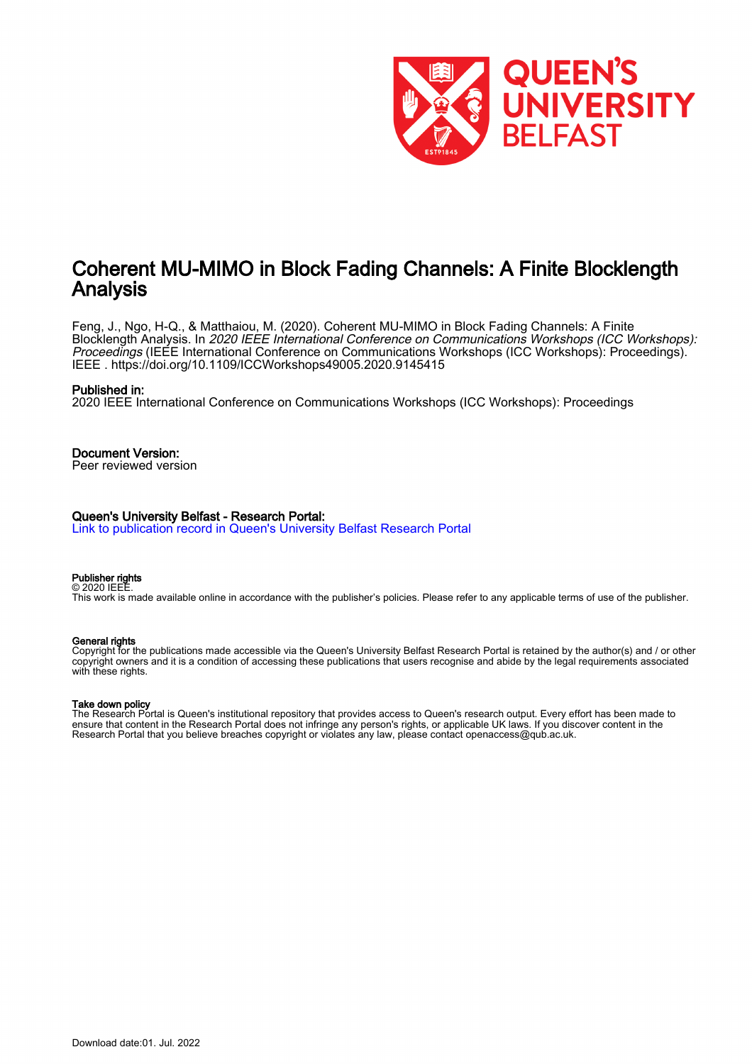

# Coherent MU-MIMO in Block Fading Channels: A Finite Blocklength Analysis

Feng, J., Ngo, H-Q., & Matthaiou, M. (2020). Coherent MU-MIMO in Block Fading Channels: A Finite Blocklength Analysis. In 2020 IEEE International Conference on Communications Workshops (ICC Workshops): Proceedings (IEEE International Conference on Communications Workshops (ICC Workshops): Proceedings). IEEE .<https://doi.org/10.1109/ICCWorkshops49005.2020.9145415>

# Published in:

2020 IEEE International Conference on Communications Workshops (ICC Workshops): Proceedings

# Document Version:

Peer reviewed version

# Queen's University Belfast - Research Portal:

[Link to publication record in Queen's University Belfast Research Portal](https://pure.qub.ac.uk/en/publications/e7ad1618-9b5d-47ab-9e57-f01c68a82155)

#### Publisher rights © 2020 IEEE.

This work is made available online in accordance with the publisher's policies. Please refer to any applicable terms of use of the publisher.

# General rights

Copyright for the publications made accessible via the Queen's University Belfast Research Portal is retained by the author(s) and / or other copyright owners and it is a condition of accessing these publications that users recognise and abide by the legal requirements associated with these rights.

## Take down policy

The Research Portal is Queen's institutional repository that provides access to Queen's research output. Every effort has been made to ensure that content in the Research Portal does not infringe any person's rights, or applicable UK laws. If you discover content in the Research Portal that you believe breaches copyright or violates any law, please contact openaccess@qub.ac.uk.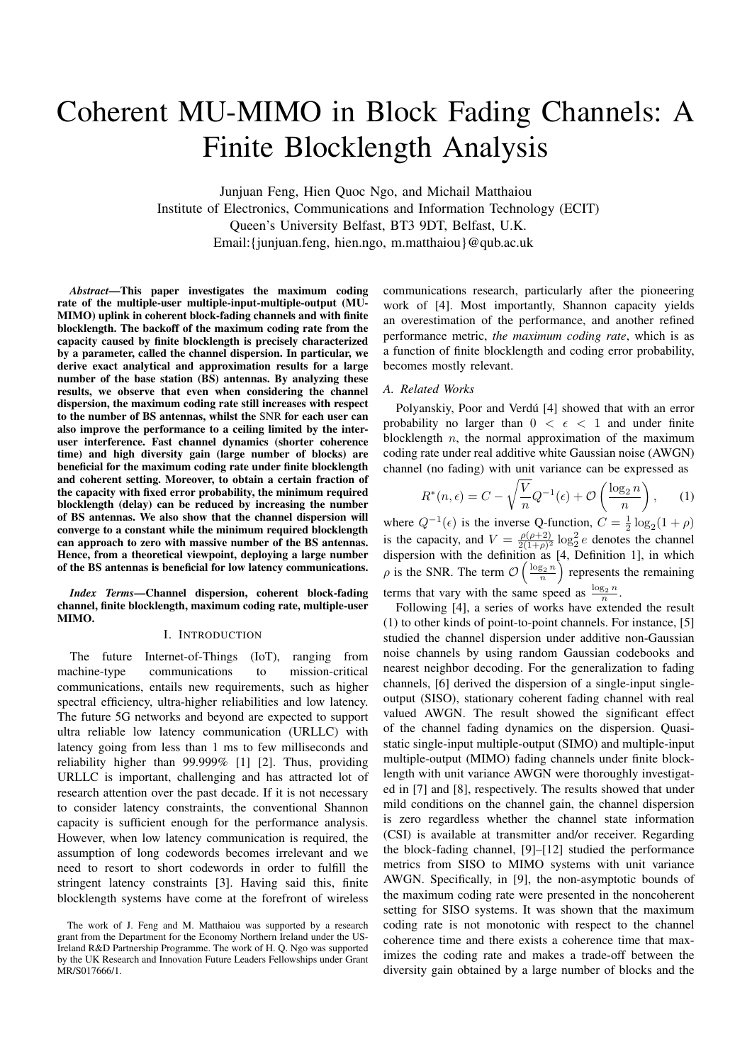# Coherent MU-MIMO in Block Fading Channels: A Finite Blocklength Analysis

Junjuan Feng, Hien Quoc Ngo, and Michail Matthaiou Institute of Electronics, Communications and Information Technology (ECIT) Queen's University Belfast, BT3 9DT, Belfast, U.K. Email:{junjuan.feng, hien.ngo, m.matthaiou}@qub.ac.uk

*Abstract*—This paper investigates the maximum coding rate of the multiple-user multiple-input-multiple-output (MU-MIMO) uplink in coherent block-fading channels and with finite blocklength. The backoff of the maximum coding rate from the capacity caused by finite blocklength is precisely characterized by a parameter, called the channel dispersion. In particular, we derive exact analytical and approximation results for a large number of the base station (BS) antennas. By analyzing these results, we observe that even when considering the channel dispersion, the maximum coding rate still increases with respect to the number of BS antennas, whilst the SNR for each user can also improve the performance to a ceiling limited by the interuser interference. Fast channel dynamics (shorter coherence time) and high diversity gain (large number of blocks) are beneficial for the maximum coding rate under finite blocklength and coherent setting. Moreover, to obtain a certain fraction of the capacity with fixed error probability, the minimum required blocklength (delay) can be reduced by increasing the number of BS antennas. We also show that the channel dispersion will converge to a constant while the minimum required blocklength can approach to zero with massive number of the BS antennas. Hence, from a theoretical viewpoint, deploying a large number of the BS antennas is beneficial for low latency communications.

*Index Terms*—Channel dispersion, coherent block-fading channel, finite blocklength, maximum coding rate, multiple-user MIMO.

# I. INTRODUCTION

The future Internet-of-Things (IoT), ranging from machine-type communications to mission-critical communications, entails new requirements, such as higher spectral efficiency, ultra-higher reliabilities and low latency. The future 5G networks and beyond are expected to support ultra reliable low latency communication (URLLC) with latency going from less than 1 ms to few milliseconds and reliability higher than 99.999% [1] [2]. Thus, providing URLLC is important, challenging and has attracted lot of research attention over the past decade. If it is not necessary to consider latency constraints, the conventional Shannon capacity is sufficient enough for the performance analysis. However, when low latency communication is required, the assumption of long codewords becomes irrelevant and we need to resort to short codewords in order to fulfill the stringent latency constraints [3]. Having said this, finite blocklength systems have come at the forefront of wireless

communications research, particularly after the pioneering work of [4]. Most importantly, Shannon capacity yields an overestimation of the performance, and another refined performance metric, *the maximum coding rate*, which is as a function of finite blocklength and coding error probability, becomes mostly relevant.

#### *A. Related Works*

Polyanskiy, Poor and Verdú [4] showed that with an error probability no larger than  $0 < \epsilon < 1$  and under finite blocklength *n*, the normal approximation of the maximum coding rate under real additive white Gaussian noise (AWGN) channel (no fading) with unit variance can be expressed as

$$
R^*(n, \epsilon) = C - \sqrt{\frac{V}{n}} Q^{-1}(\epsilon) + \mathcal{O}\left(\frac{\log_2 n}{n}\right), \quad (1)
$$

where  $Q^{-1}(\epsilon)$  is the inverse Q-function,  $C = \frac{1}{2} \log_2(1 + \rho)$ is the capacity, and  $V = \frac{\rho(\rho+2)}{2(1+\rho)^2}$  $\frac{\rho(\rho+2)}{2(1+\rho)^2} \log_2^2 e$  denotes the channel dispersion with the definition as [4, Definition 1], in which  $\rho$  is the SNR. The term  $\mathcal{O}\left(\frac{\log_2 n}{n}\right)$  represents the remaining terms that vary with the same speed as  $\frac{\log_2 n}{n}$ .

Following [4], a series of works have extended the result (1) to other kinds of point-to-point channels. For instance, [5] studied the channel dispersion under additive non-Gaussian noise channels by using random Gaussian codebooks and nearest neighbor decoding. For the generalization to fading channels, [6] derived the dispersion of a single-input singleoutput (SISO), stationary coherent fading channel with real valued AWGN. The result showed the significant effect of the channel fading dynamics on the dispersion. Quasistatic single-input multiple-output (SIMO) and multiple-input multiple-output (MIMO) fading channels under finite blocklength with unit variance AWGN were thoroughly investigated in [7] and [8], respectively. The results showed that under mild conditions on the channel gain, the channel dispersion is zero regardless whether the channel state information (CSI) is available at transmitter and/or receiver. Regarding the block-fading channel, [9]–[12] studied the performance metrics from SISO to MIMO systems with unit variance AWGN. Specifically, in [9], the non-asymptotic bounds of the maximum coding rate were presented in the noncoherent setting for SISO systems. It was shown that the maximum coding rate is not monotonic with respect to the channel coherence time and there exists a coherence time that maximizes the coding rate and makes a trade-off between the diversity gain obtained by a large number of blocks and the

The work of J. Feng and M. Matthaiou was supported by a research grant from the Department for the Economy Northern Ireland under the US-Ireland R&D Partnership Programme. The work of H. Q. Ngo was supported by the UK Research and Innovation Future Leaders Fellowships under Grant MR/S017666/1.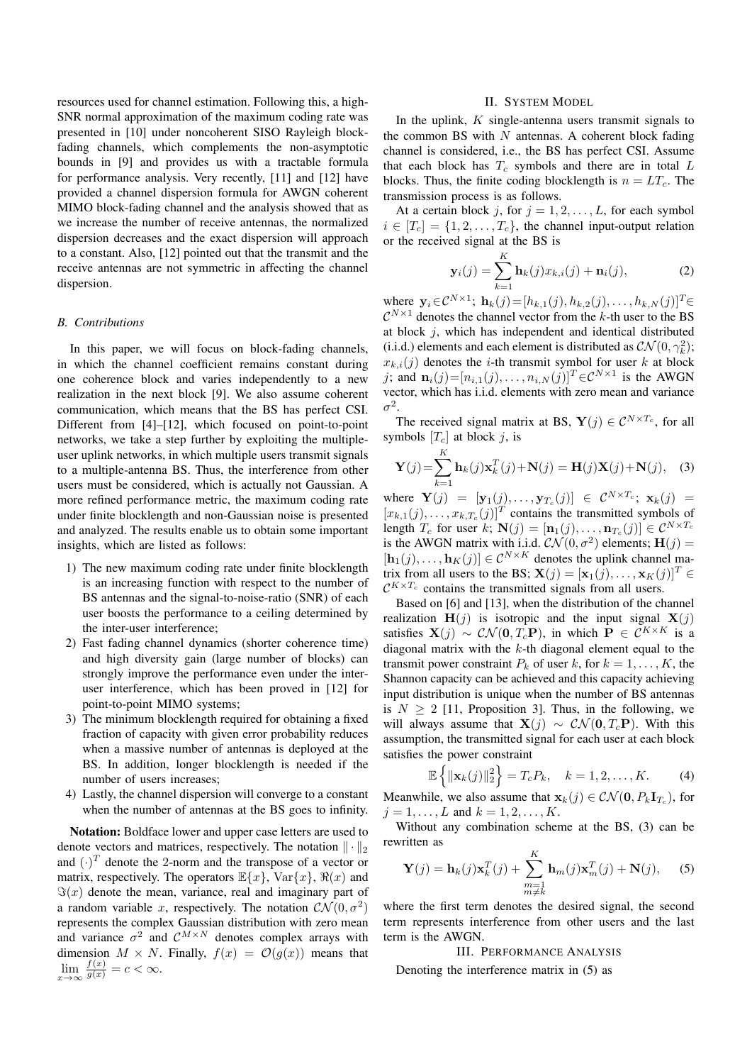resources used for channel estimation. Following this, a high-SNR normal approximation of the maximum coding rate was presented in [10] under noncoherent SISO Rayleigh blockfading channels, which complements the non-asymptotic bounds in [9] and provides us with a tractable formula for performance analysis. Very recently, [11] and [12] have provided a channel dispersion formula for AWGN coherent MIMO block-fading channel and the analysis showed that as we increase the number of receive antennas, the normalized dispersion decreases and the exact dispersion will approach to a constant. Also, [12] pointed out that the transmit and the receive antennas are not symmetric in affecting the channel dispersion.

#### *B. Contributions*

In this paper, we will focus on block-fading channels, in which the channel coefficient remains constant during one coherence block and varies independently to a new realization in the next block [9]. We also assume coherent communication, which means that the BS has perfect CSI. Different from [4]–[12], which focused on point-to-point networks, we take a step further by exploiting the multipleuser uplink networks, in which multiple users transmit signals to a multiple-antenna BS. Thus, the interference from other users must be considered, which is actually not Gaussian. A more refined performance metric, the maximum coding rate under finite blocklength and non-Gaussian noise is presented and analyzed. The results enable us to obtain some important insights, which are listed as follows:

- 1) The new maximum coding rate under finite blocklength is an increasing function with respect to the number of BS antennas and the signal-to-noise-ratio (SNR) of each user boosts the performance to a ceiling determined by the inter-user interference;
- 2) Fast fading channel dynamics (shorter coherence time) and high diversity gain (large number of blocks) can strongly improve the performance even under the interuser interference, which has been proved in [12] for point-to-point MIMO systems;
- 3) The minimum blocklength required for obtaining a fixed fraction of capacity with given error probability reduces when a massive number of antennas is deployed at the BS. In addition, longer blocklength is needed if the number of users increases;
- 4) Lastly, the channel dispersion will converge to a constant when the number of antennas at the BS goes to infinity.

Notation: Boldface lower and upper case letters are used to denote vectors and matrices, respectively. The notation *∥ · ∥*<sup>2</sup> and  $(\cdot)^T$  denote the 2-norm and the transpose of a vector or matrix, respectively. The operators  $\mathbb{E}\{x\}$ ,  $\text{Var}\{x\}$ ,  $\Re(x)$  and  $\Im(x)$  denote the mean, variance, real and imaginary part of a random variable *x*, respectively. The notation  $CN(0, \sigma^2)$ represents the complex Gaussian distribution with zero mean and variance  $\sigma^2$  and  $C^{M \times N}$  denotes complex arrays with dimension  $M \times N$ . Finally,  $f(x) = \mathcal{O}(g(x))$  means that  $\lim_{x \to \infty} \frac{f(x)}{g(x)} = c < \infty.$ 

# II. SYSTEM MODEL

In the uplink, *K* single-antenna users transmit signals to the common BS with *N* antennas. A coherent block fading channel is considered, i.e., the BS has perfect CSI. Assume that each block has *T<sup>c</sup>* symbols and there are in total *L* blocks. Thus, the finite coding blocklength is  $n = LT_c$ . The transmission process is as follows.

At a certain block *j*, for  $j = 1, 2, \ldots, L$ , for each symbol  $i \in [T_c] = \{1, 2, \ldots, T_c\}$ , the channel input-output relation or the received signal at the BS is

$$
\mathbf{y}_{i}(j) = \sum_{k=1}^{K} \mathbf{h}_{k}(j)x_{k,i}(j) + \mathbf{n}_{i}(j),
$$
 (2)

where  $\mathbf{y}_i \in \mathcal{C}^{N \times 1}$ ;  $\mathbf{h}_k(j) = [h_{k,1}(j), h_{k,2}(j), \dots, h_{k,N}(j)]^T$ ∈  $C^{N\times 1}$  denotes the channel vector from the *k*-th user to the BS at block *j*, which has independent and identical distributed (i.i.d.) elements and each element is distributed as  $CN(0, \gamma_k^2)$ ;  $x_{k,i}(j)$  denotes the *i*-th transmit symbol for user *k* at block *j*; and  $\mathbf{n}_i(j)=[n_{i,1}(j), \ldots, n_{i,N}(j)]^T \in \mathcal{C}^{N \times 1}$  is the AWGN vector, which has i.i.d. elements with zero mean and variance  $\sigma^2$ .

The received signal matrix at BS,  $\mathbf{Y}(j) \in \mathcal{C}^{N \times T_c}$ , for all symbols  $[T_c]$  at block  $j$ , is

$$
\mathbf{Y}(j) = \sum_{k=1}^{K} \mathbf{h}_k(j) \mathbf{x}_k^T(j) + \mathbf{N}(j) = \mathbf{H}(j)\mathbf{X}(j) + \mathbf{N}(j), \quad (3)
$$

where  $\mathbf{Y}(j) = [\mathbf{y}_1(j), ..., \mathbf{y}_{T_c}(j)] \in C^{N \times T_c}$ ;  $\mathbf{x}_k(j) =$  $[x_{k,1}(j),...,x_{k,T_c}(j)]^T$  contains the transmitted symbols of length *T<sub>c</sub>* for user *k*;  $\mathbf{N}(j) = [\mathbf{n}_1(j), \dots, \mathbf{n}_{T_c}(j)] \in C^{N \times T_c}$ is the AWGN matrix with i.i.d.  $\mathcal{CN}(0, \sigma^2)$  elements;  $\mathbf{H}(j)$  =  $[\mathbf{h}_1(j), \ldots, \mathbf{h}_K(j)] \in \mathcal{C}^{N \times K}$  denotes the uplink channel matrix from all users to the BS;  $\mathbf{X}(j) = [\mathbf{x}_1(j), \dots, \mathbf{x}_K(j)]^T \in$  $\mathcal{C}^{K \times T_c}$  contains the transmitted signals from all users.

Based on [6] and [13], when the distribution of the channel realization  $\mathbf{H}(j)$  is isotropic and the input signal  $\mathbf{X}(j)$ satisfies  $\mathbf{X}(j) \sim \mathcal{CN}(\mathbf{0}, T_c\mathbf{P})$ , in which  $\mathbf{P} \in \mathcal{C}^{K \times K}$  is a diagonal matrix with the *k*-th diagonal element equal to the transmit power constraint  $P_k$  of user  $k$ , for  $k = 1, \ldots, K$ , the Shannon capacity can be achieved and this capacity achieving input distribution is unique when the number of BS antennas is  $N \geq 2$  [11, Proposition 3]. Thus, in the following, we will always assume that  $\mathbf{X}(j) \sim \mathcal{CN}(\mathbf{0}, T_c\mathbf{P})$ . With this assumption, the transmitted signal for each user at each block satisfies the power constraint

$$
\mathbb{E}\left\{\|\mathbf{x}_k(j)\|_2^2\right\} = T_c P_k, \quad k = 1, 2, \dots, K. \tag{4}
$$

Meanwhile, we also assume that  $\mathbf{x}_k(j) \in \mathcal{CN}(\mathbf{0}, P_k \mathbf{I}_{T_c})$ , for  $j = 1, \ldots, L$  and  $k = 1, 2, \ldots, K$ .

Without any combination scheme at the BS, (3) can be rewritten as

$$
\mathbf{Y}(j) = \mathbf{h}_k(j)\mathbf{x}_k^T(j) + \sum_{\substack{m=1\\m\neq k}}^K \mathbf{h}_m(j)\mathbf{x}_m^T(j) + \mathbf{N}(j), \quad (5)
$$

where the first term denotes the desired signal, the second term represents interference from other users and the last term is the AWGN.

III. PERFORMANCE ANALYSIS

Denoting the interference matrix in (5) as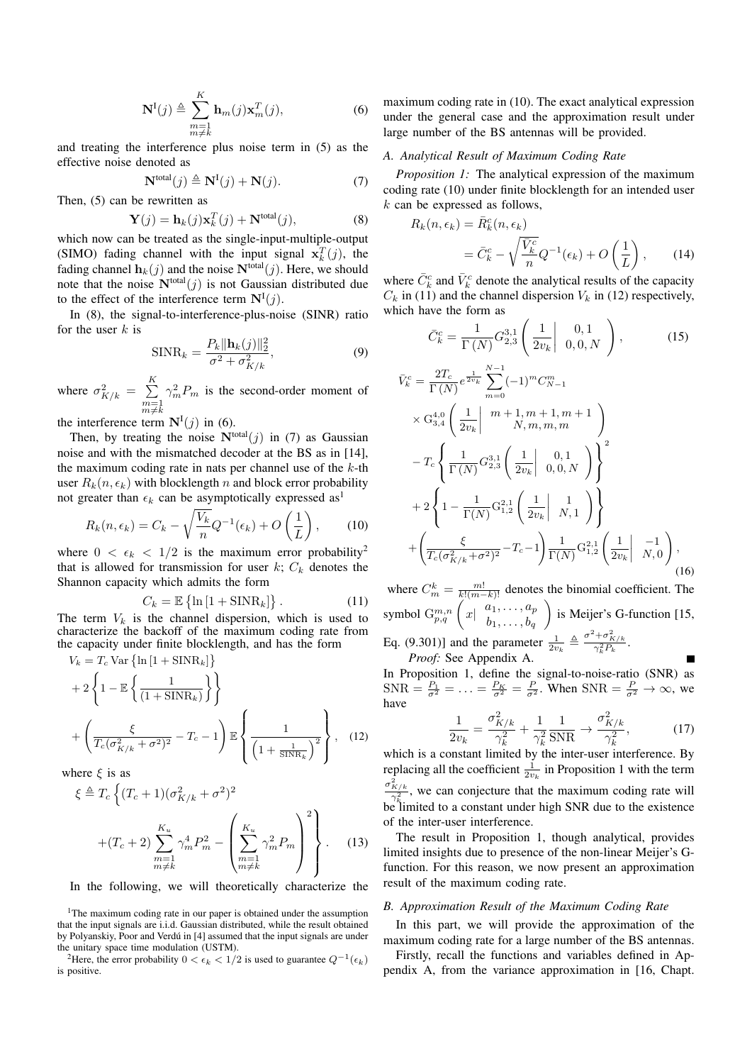$$
\mathbf{N}^{I}(j) \triangleq \sum_{\substack{m=1\\m\neq k}}^{K} \mathbf{h}_{m}(j) \mathbf{x}_{m}^{T}(j),
$$
 (6)

and treating the interference plus noise term in (5) as the effective noise denoted as

$$
\mathbf{N}^{\text{total}}(j) \triangleq \mathbf{N}^{\text{I}}(j) + \mathbf{N}(j). \tag{7}
$$

Then, (5) can be rewritten as

$$
\mathbf{Y}(j) = \mathbf{h}_k(j)\mathbf{x}_k^T(j) + \mathbf{N}^{\text{total}}(j),\tag{8}
$$

which now can be treated as the single-input-multiple-output (SIMO) fading channel with the input signal  $\mathbf{x}_k^T(j)$ , the fading channel  $\mathbf{h}_k(j)$  and the noise  $\mathbf{N}^{\text{total}}(j)$ . Here, we should note that the noise  $N<sup>total</sup>(j)$  is not Gaussian distributed due to the effect of the interference term  $N^{I}(j)$ .

In (8), the signal-to-interference-plus-noise (SINR) ratio for the user *k* is

$$
\text{SINR}_k = \frac{P_k \|\mathbf{h}_k(j)\|_2^2}{\sigma^2 + \sigma_{K/k}^2},\tag{9}
$$

where  $\sigma_{K/k}^2 = \sum_{k=1}^{K}$  $m=1$ <br> $m \neq k$  $\gamma_m^2 P_m$  is the second-order moment of

the interference term  $N^{I}(j)$  in (6).

Then, by treating the noise  $N<sup>total</sup>(j)$  in (7) as Gaussian noise and with the mismatched decoder at the BS as in [14], the maximum coding rate in nats per channel use of the *k*-th user  $R_k(n, \epsilon_k)$  with blocklength *n* and block error probability not greater than  $\epsilon_k$  can be asymptotically expressed as<sup>1</sup>

$$
R_k(n, \epsilon_k) = C_k - \sqrt{\frac{V_k}{n}} Q^{-1}(\epsilon_k) + O\left(\frac{1}{L}\right), \quad (10)
$$

where  $0 < \epsilon_k < 1/2$  is the maximum error probability<sup>2</sup> that is allowed for transmission for user  $k$ ;  $C_k$  denotes the Shannon capacity which admits the form

$$
C_k = \mathbb{E}\left\{\ln\left[1 + \text{SINR}_k\right]\right\}.
$$
 (11)

The term  $V_k$  is the channel dispersion, which is used to characterize the backoff of the maximum coding rate from the capacity under finite blocklength, and has the form

$$
V_k = T_c \text{Var}\left\{\ln\left[1 + \text{SINR}_k\right]\right\}
$$
  
+2\left\{1 - \mathbb{E}\left\{\frac{1}{(1 + \text{SINR}\_k)}\right\}\right\}  
+ \left(\frac{\xi}{T\_c(\sigma\_{K/k}^2 + \sigma^2)^2} - T\_c - 1\right) \mathbb{E}\left\{\frac{1}{\left(1 + \frac{1}{\text{SINR}\_k}\right)^2}\right\}, (12)

where *ξ* is as

$$
\xi \triangleq T_c \left\{ (T_c + 1)(\sigma_{K/k}^2 + \sigma^2)^2 + (T_c + 2) \sum_{\substack{m=1 \ m \neq k}}^{K_u} \gamma_m^4 P_m^2 - \left( \sum_{\substack{m=1 \ m \neq k}}^{K_u} \gamma_m^2 P_m \right)^2 \right\}.
$$
 (13)

In the following, we will theoretically characterize the

maximum coding rate in (10). The exact analytical expression under the general case and the approximation result under large number of the BS antennas will be provided.

#### *A. Analytical Result of Maximum Coding Rate*

*Proposition 1:* The analytical expression of the maximum coding rate (10) under finite blocklength for an intended user *k* can be expressed as follows,

$$
R_k(n, \epsilon_k) = \bar{R}_k^c(n, \epsilon_k)
$$
  
=  $\bar{C}_k^c - \sqrt{\frac{\bar{V}_k^c}{n}} Q^{-1}(\epsilon_k) + O\left(\frac{1}{L}\right)$ , (14)

where  $\bar{C}_k^c$  and  $\bar{V}_k^c$  denote the analytical results of the capacity  $C_k$  in (11) and the channel dispersion  $V_k$  in (12) respectively, which have the form as

$$
\bar{C}_k^c = \frac{1}{\Gamma(N)} G_{2,3}^{3,1} \left( \frac{1}{2v_k} \middle| 0, 0, N \right), \tag{15}
$$

$$
\bar{V}_{k}^{c} = \frac{2T_{c}}{\Gamma(N)} e^{\frac{1}{2v_{k}} \sum_{m=0}^{N-1} (-1)^{m} C_{N-1}^{m}} \times G_{3,4}^{4,0} \left( \frac{1}{2v_{k}} \middle| \begin{array}{c} m+1, m+1, m+1 \\ N, m, m, m \end{array} \right) - T_{c} \left\{ \frac{1}{\Gamma(N)} G_{2,3}^{3,1} \left( \frac{1}{2v_{k}} \middle| \begin{array}{c} 0, 1 \\ 0, 0, N \end{array} \right) \right\}^{2} + 2 \left\{ 1 - \frac{1}{\Gamma(N)} G_{1,2}^{2,1} \left( \frac{1}{2v_{k}} \middle| \begin{array}{c} 1 \\ N, 1 \end{array} \right) \right\} + \left( \frac{\xi}{T_{c} (\sigma_{K/k}^{2} + \sigma^{2})^{2}} - T_{c} - 1 \right) \frac{1}{\Gamma(N)} G_{1,2}^{2,1} \left( \frac{1}{2v_{k}} \middle| \begin{array}{c} -1 \\ N, 0 \end{array} \right), \tag{16}
$$

where  $C_m^k = \frac{m!}{k!(m-k)!}$  denotes the binomial coefficient. The symbol  $G_{p,q}^{m,n}$   $\left(x \mid \begin{array}{c} a_1, \ldots, a_p \\ b_1, \ldots, b_p \end{array}\right)$  $b_1, \ldots, b_q$ ) is Meijer's G-function [15,

Eq. (9.301)] and the parameter  $\frac{1}{2v_k} \triangleq \frac{\sigma^2 + \sigma_{K/k}^2}{\gamma_k^2 P_k}$ . *Proof:* See Appendix A.

In Proposition 1, define the signal-to-noise-ratio (SNR) as  $SNR = \frac{P_1}{\sigma^2} = \ldots = \frac{P_K}{\sigma^2} = \frac{P}{\sigma^2}$ . When  $SNR = \frac{P}{\sigma^2} \to \infty$ , we have 2 2

$$
\frac{1}{2v_k} = \frac{\sigma_{K/k}^2}{\gamma_k^2} + \frac{1}{\gamma_k^2} \frac{1}{\text{SNR}} \to \frac{\sigma_{K/k}^2}{\gamma_k^2},\tag{17}
$$

which is a constant limited by the inter-user interference. By replacing all the coefficient  $\frac{1}{2v_k}$  in Proposition 1 with the term  $\frac{\sigma_{K/k}^2}{\gamma_k^2}$ , we can conjecture that the maximum coding rate will be limited to a constant under high SNR due to the existence of the inter-user interference.

The result in Proposition 1, though analytical, provides limited insights due to presence of the non-linear Meijer's Gfunction. For this reason, we now present an approximation result of the maximum coding rate.

## *B. Approximation Result of the Maximum Coding Rate*

In this part, we will provide the approximation of the maximum coding rate for a large number of the BS antennas.

Firstly, recall the functions and variables defined in Appendix A, from the variance approximation in [16, Chapt.

<sup>&</sup>lt;sup>1</sup>The maximum coding rate in our paper is obtained under the assumption that the input signals are i.i.d. Gaussian distributed, while the result obtained by Polyanskiy, Poor and Verdú in [4] assumed that the input signals are under the unitary space time modulation (USTM).

<sup>&</sup>lt;sup>2</sup>Here, the error probability  $0 < \epsilon_k < 1/2$  is used to guarantee  $Q^{-1}(\epsilon_k)$ is positive.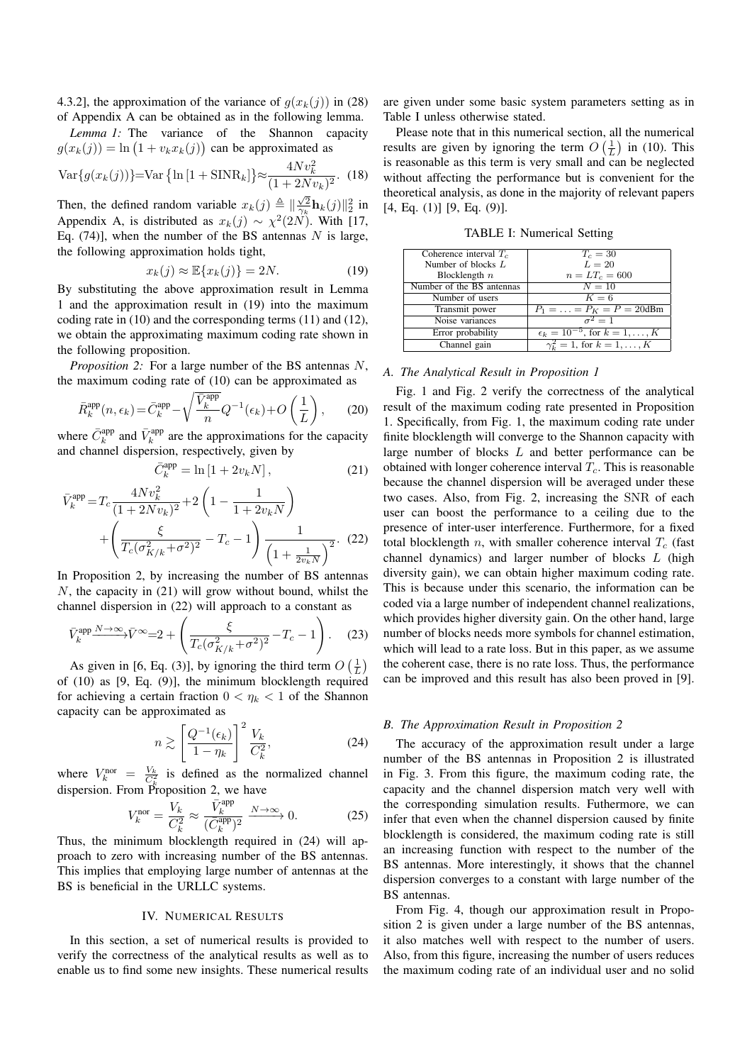4.3.2], the approximation of the variance of  $g(x_k(j))$  in (28) of Appendix A can be obtained as in the following lemma.

*Lemma 1:* The variance of the Shannon capacity  $g(x_k(j)) = \ln(1 + v_k x_k(j))$  can be approximated as

$$
\text{Var}\{g(x_k(j))\} = \text{Var}\{\ln[1 + \text{SINR}_k]\} \approx \frac{4Nv_k^2}{(1 + 2Nv_k)^2}.
$$
 (18)

Then, the defined random variable  $x_k(j) \triangleq \frac{\sqrt{2}}{2} \mathbf{h}_k(j) \cdot \frac{2}{2}$  in Appendix A, is distributed as  $x_k(j) \sim \chi^2(2N)$ . With [17, Eq. (74)], when the number of the BS antennas *N* is large, the following approximation holds tight,

$$
x_k(j) \approx \mathbb{E}\{x_k(j)\} = 2N. \tag{19}
$$

By substituting the above approximation result in Lemma 1 and the approximation result in (19) into the maximum coding rate in (10) and the corresponding terms (11) and (12), we obtain the approximating maximum coding rate shown in the following proposition.

*Proposition 2:* For a large number of the BS antennas *N*, the maximum coding rate of (10) can be approximated as

$$
\bar{R}_k^{\text{app}}(n, \epsilon_k) = \bar{C}_k^{\text{app}} - \sqrt{\frac{\bar{V}_k^{\text{app}}}{n}} Q^{-1}(\epsilon_k) + O\left(\frac{1}{L}\right),\tag{20}
$$

where  $\bar{C}_k^{\text{app}}$  and  $\bar{V}_k^{\text{app}}$  are the approximations for the capacity and channel dispersion, respectively, given by

$$
\bar{C}_k^{\text{app}} = \ln\left[1 + 2v_k N\right],\tag{21}
$$

$$
\bar{V}_k^{\text{app}} = T_c \frac{4Nv_k^2}{(1+2Nv_k)^2} + 2\left(1 - \frac{1}{1+2v_kN}\right) + \left(\frac{\xi}{T_c(\sigma_{K/k}^2 + \sigma^2)^2} - T_c - 1\right) \frac{1}{\left(1 + \frac{1}{2v_kN}\right)^2}.
$$
 (22)

In Proposition 2, by increasing the number of BS antennas *N*, the capacity in (21) will grow without bound, whilst the channel dispersion in (22) will approach to a constant as

$$
\bar{V}_k^{\text{app}} \xrightarrow{N \to \infty} \bar{V}^{\infty} = 2 + \left( \frac{\xi}{T_c (\sigma_{K/k}^2 + \sigma^2)^2} - T_c - 1 \right). \tag{23}
$$

As given in [6, Eq. (3)], by ignoring the third term  $O\left(\frac{1}{L}\right)$ of (10) as [9, Eq. (9)], the minimum blocklength required for achieving a certain fraction  $0 < \eta_k < 1$  of the Shannon capacity can be approximated as

$$
n \gtrsim \left[\frac{Q^{-1}(\epsilon_k)}{1-\eta_k}\right]^2 \frac{V_k}{C_k^2},\tag{24}
$$

where  $V_k^{\text{nor}} = \frac{V_k}{C_k^2}$  is defined as the normalized channel dispersion. From Proposition 2, we have

$$
V_k^{\text{nor}} = \frac{V_k}{C_k^2} \approx \frac{\bar{V}_k^{\text{app}}}{(\bar{C}_k^{\text{app}})^2} \xrightarrow{N \to \infty} 0. \tag{25}
$$

Thus, the minimum blocklength required in (24) will approach to zero with increasing number of the BS antennas. This implies that employing large number of antennas at the BS is beneficial in the URLLC systems.

# IV. NUMERICAL RESULTS

In this section, a set of numerical results is provided to verify the correctness of the analytical results as well as to enable us to find some new insights. These numerical results are given under some basic system parameters setting as in Table I unless otherwise stated.

Please note that in this numerical section, all the numerical results are given by ignoring the term  $O\left(\frac{1}{L}\right)$  in (10). This is reasonable as this term is very small and can be neglected without affecting the performance but is convenient for the theoretical analysis, as done in the majority of relevant papers  $[4, Eq. (1)]$   $[9, Eq. (9)]$ .

TABLE I: Numerical Setting

| Coherence interval $T_c$  | $T_c=30$                                  |
|---------------------------|-------------------------------------------|
| Number of blocks $L$      | $L=20$                                    |
| Blocklength $n$           | $n = LT_c = 600$                          |
| Number of the BS antennas | $N=10$                                    |
| Number of users           | $K=6$                                     |
| Transmit power            | $P_1 = \ldots = P_K = P = 20$ dBm         |
| Noise variances           | $\overline{\sigma^2} = 1$                 |
| Error probability         | $\epsilon_k = 10^{-5}$ , for $k = 1, , K$ |
| Channel gain              | $\gamma_k^2 = 1$ , for $k = 1, , K$       |

# *A. The Analytical Result in Proposition 1*

Fig. 1 and Fig. 2 verify the correctness of the analytical result of the maximum coding rate presented in Proposition 1. Specifically, from Fig. 1, the maximum coding rate under finite blocklength will converge to the Shannon capacity with large number of blocks *L* and better performance can be obtained with longer coherence interval *Tc*. This is reasonable because the channel dispersion will be averaged under these two cases. Also, from Fig. 2, increasing the SNR of each user can boost the performance to a ceiling due to the presence of inter-user interference. Furthermore, for a fixed total blocklength *n*, with smaller coherence interval  $T_c$  (fast channel dynamics) and larger number of blocks *L* (high diversity gain), we can obtain higher maximum coding rate. This is because under this scenario, the information can be coded via a large number of independent channel realizations, which provides higher diversity gain. On the other hand, large number of blocks needs more symbols for channel estimation, which will lead to a rate loss. But in this paper, as we assume the coherent case, there is no rate loss. Thus, the performance can be improved and this result has also been proved in [9].

#### *B. The Approximation Result in Proposition 2*

The accuracy of the approximation result under a large number of the BS antennas in Proposition 2 is illustrated in Fig. 3. From this figure, the maximum coding rate, the capacity and the channel dispersion match very well with the corresponding simulation results. Futhermore, we can infer that even when the channel dispersion caused by finite blocklength is considered, the maximum coding rate is still an increasing function with respect to the number of the BS antennas. More interestingly, it shows that the channel dispersion converges to a constant with large number of the BS antennas.

From Fig. 4, though our approximation result in Proposition 2 is given under a large number of the BS antennas, it also matches well with respect to the number of users. Also, from this figure, increasing the number of users reduces the maximum coding rate of an individual user and no solid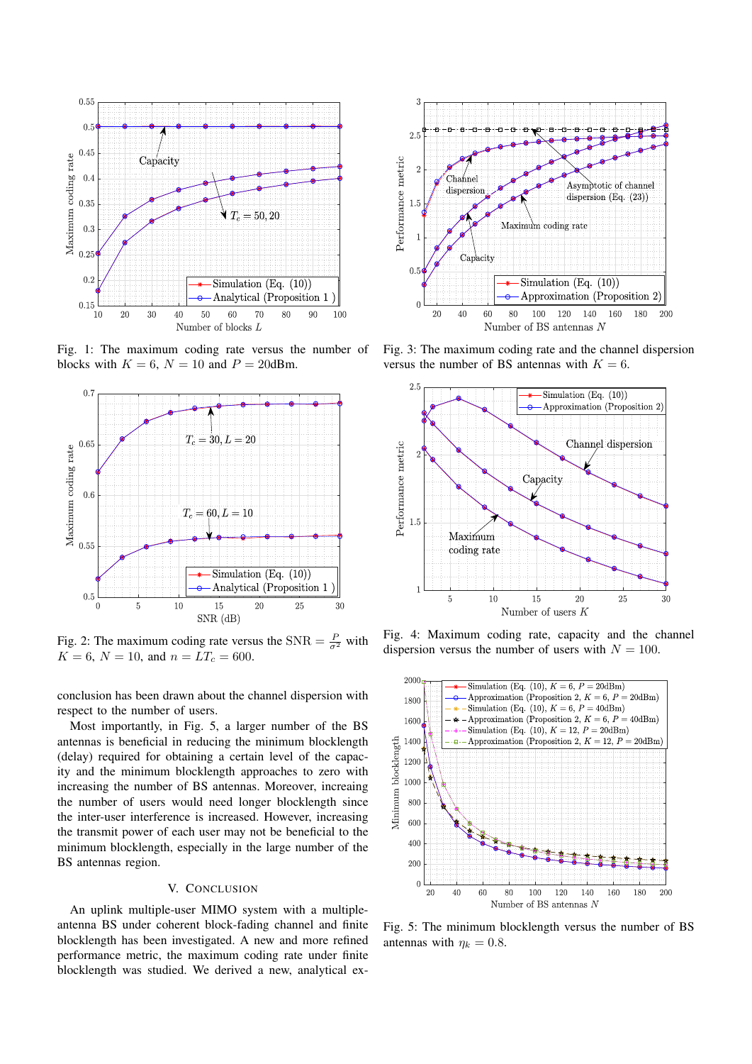

Fig. 1: The maximum coding rate versus the number of blocks with  $K = 6$ ,  $N = 10$  and  $P = 20$ dBm.



Fig. 2: The maximum coding rate versus the  $SNR = \frac{P}{\sigma^2}$  with  $K = 6, N = 10, \text{ and } n = LT_c = 600.$ 

conclusion has been drawn about the channel dispersion with respect to the number of users.

Most importantly, in Fig. 5, a larger number of the BS antennas is beneficial in reducing the minimum blocklength (delay) required for obtaining a certain level of the capacity and the minimum blocklength approaches to zero with increasing the number of BS antennas. Moreover, increaing the number of users would need longer blocklength since the inter-user interference is increased. However, increasing the transmit power of each user may not be beneficial to the minimum blocklength, especially in the large number of the BS antennas region.

### V. CONCLUSION

An uplink multiple-user MIMO system with a multipleantenna BS under coherent block-fading channel and finite blocklength has been investigated. A new and more refined performance metric, the maximum coding rate under finite blocklength was studied. We derived a new, analytical ex-



Fig. 3: The maximum coding rate and the channel dispersion versus the number of BS antennas with  $K = 6$ .



Fig. 4: Maximum coding rate, capacity and the channel dispersion versus the number of users with  $N = 100$ .



Fig. 5: The minimum blocklength versus the number of BS antennas with  $\eta_k = 0.8$ .